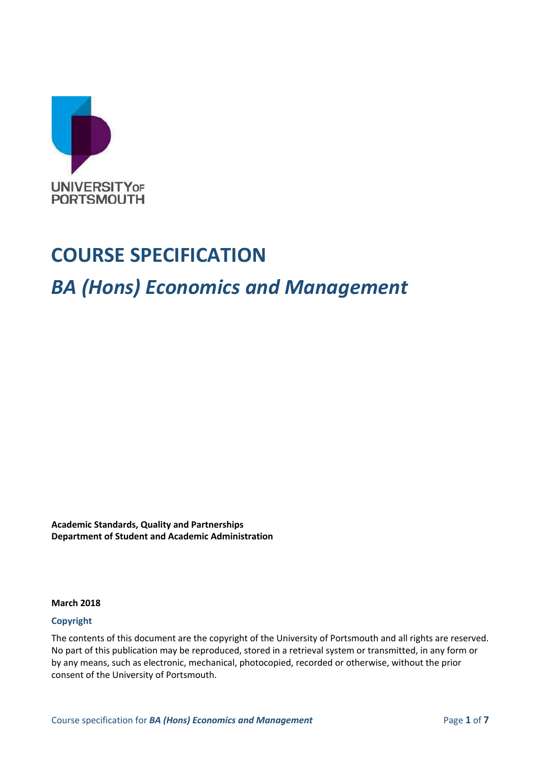

# **COURSE SPECIFICATION**

# *BA (Hons) Economics and Management*

**Academic Standards, Quality and Partnerships Department of Student and Academic Administration**

#### **March 2018**

#### **Copyright**

The contents of this document are the copyright of the University of Portsmouth and all rights are reserved. No part of this publication may be reproduced, stored in a retrieval system or transmitted, in any form or by any means, such as electronic, mechanical, photocopied, recorded or otherwise, without the prior consent of the University of Portsmouth.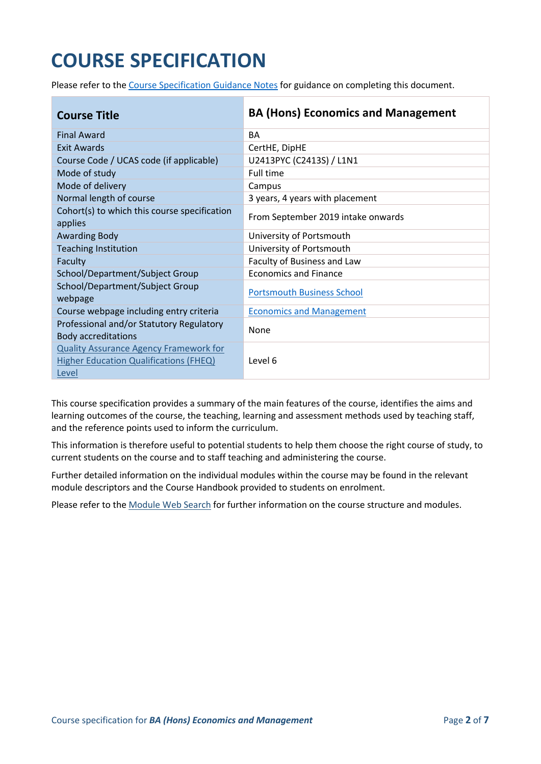# **COURSE SPECIFICATION**

Please refer to the [Course Specification Guidance Notes](http://www.port.ac.uk/departments/services/academicregistry/qmd/curriculum-framework-2019-20/filetodownload,201767,en.docx) for guidance on completing this document.

| <b>Course Title</b>                                                                                     | <b>BA (Hons) Economics and Management</b> |
|---------------------------------------------------------------------------------------------------------|-------------------------------------------|
| <b>Final Award</b>                                                                                      | <b>BA</b>                                 |
| Exit Awards                                                                                             | CertHE, DipHE                             |
| Course Code / UCAS code (if applicable)                                                                 | U2413PYC (C2413S) / L1N1                  |
| Mode of study                                                                                           | Full time                                 |
| Mode of delivery                                                                                        | Campus                                    |
| Normal length of course                                                                                 | 3 years, 4 years with placement           |
| Cohort(s) to which this course specification<br>applies                                                 | From September 2019 intake onwards        |
| <b>Awarding Body</b>                                                                                    | University of Portsmouth                  |
| <b>Teaching Institution</b>                                                                             | University of Portsmouth                  |
| Faculty                                                                                                 | Faculty of Business and Law               |
| School/Department/Subject Group                                                                         | <b>Economics and Finance</b>              |
| School/Department/Subject Group<br>webpage                                                              | <b>Portsmouth Business School</b>         |
| Course webpage including entry criteria                                                                 | <b>Economics and Management</b>           |
| Professional and/or Statutory Regulatory<br><b>Body accreditations</b>                                  | None                                      |
| <b>Quality Assurance Agency Framework for</b><br><b>Higher Education Qualifications (FHEQ)</b><br>Level | Level 6                                   |

This course specification provides a summary of the main features of the course, identifies the aims and learning outcomes of the course, the teaching, learning and assessment methods used by teaching staff, and the reference points used to inform the curriculum.

This information is therefore useful to potential students to help them choose the right course of study, to current students on the course and to staff teaching and administering the course.

Further detailed information on the individual modules within the course may be found in the relevant module descriptors and the Course Handbook provided to students on enrolment.

Please refer to the [Module Web Search](https://register.port.ac.uk/ords/f?p=111:1:0:::::) for further information on the course structure and modules.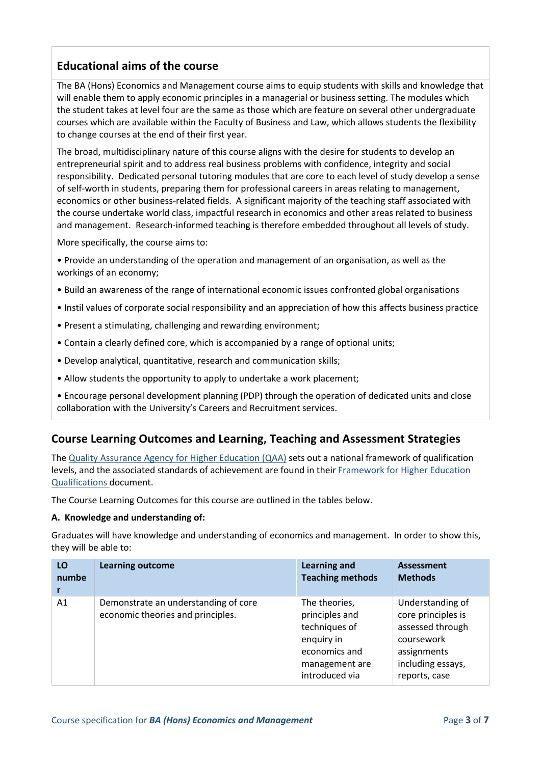# **Educational aims of the course**

The BA (Hons) Economics and Management course aims to equip students with skills and knowledge that will enable them to apply economic principles in a managerial or business setting. The modules which the student takes at level four are the same as those which are feature on several other undergraduate courses which are available within the Faculty of Business and Law, which allows students the flexibility to change courses at the end of their first year.

The broad, multidisciplinary nature of this course aligns with the desire for students to develop an entrepreneurial spirit and to address real business problems with confidence, integrity and social responsibility. Dedicated personal tutoring modules that are core to each level of study develop a sense of self-worth in students, preparing them for professional careers in areas relating to management, economics or other business-related fields. A significant majority of the teaching staff associated with the course undertake world class, impactful research in economics and other areas related to business and management. Research-informed teaching is therefore embedded throughout all levels of study.

More specifically, the course aims to:

• Provide an understanding of the operation and management of an organisation, as well as the workings of an economy;

- Build an awareness of the range of international economic issues confronted global organisations
- Instil values of corporate social responsibility and an appreciation of how this affects business practice
- Present a stimulating, challenging and rewarding environment;
- Contain a clearly defined core, which is accompanied by a range of optional units;
- Develop analytical, quantitative, research and communication skills;
- Allow students the opportunity to apply to undertake a work placement;

• Encourage personal development planning (PDP) through the operation of dedicated units and close collaboration with the University's Careers and Recruitment services.

## **Course Learning Outcomes and Learning, Teaching and Assessment Strategies**

The [Quality Assurance Agency for Higher Education \(QAA\)](http://www.qaa.ac.uk/en) sets out a national framework of qualification levels, and the associated standards of achievement are found in their [Framework for Higher Education](http://www.qaa.ac.uk/publications/information-and-guidance/publication/?PubID=2718#.WpmPXWrFL3i)  [Qualifications](http://www.qaa.ac.uk/publications/information-and-guidance/publication/?PubID=2718#.WpmPXWrFL3i) document.

The Course Learning Outcomes for this course are outlined in the tables below.

#### **A. Knowledge and understanding of:**

Graduates will have knowledge and understanding of economics and management. In order to show this, they will be able to:

| LO    | <b>Learning outcome</b>                                                   | <b>Learning and</b>                                                                                                 | <b>Assessment</b>                                                                                                             |
|-------|---------------------------------------------------------------------------|---------------------------------------------------------------------------------------------------------------------|-------------------------------------------------------------------------------------------------------------------------------|
| numbe |                                                                           | <b>Teaching methods</b>                                                                                             | <b>Methods</b>                                                                                                                |
| A1    | Demonstrate an understanding of core<br>economic theories and principles. | The theories,<br>principles and<br>techniques of<br>enquiry in<br>economics and<br>management are<br>introduced via | Understanding of<br>core principles is<br>assessed through<br>coursework<br>assignments<br>including essays,<br>reports, case |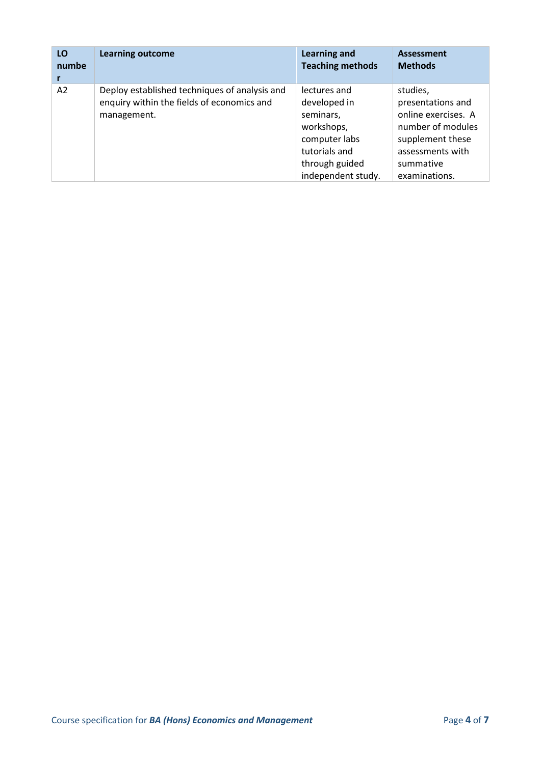| LO    | <b>Learning outcome</b>                                                                                    | <b>Learning and</b>                                                                                                               | <b>Assessment</b>                                                                                                                               |
|-------|------------------------------------------------------------------------------------------------------------|-----------------------------------------------------------------------------------------------------------------------------------|-------------------------------------------------------------------------------------------------------------------------------------------------|
| numbe |                                                                                                            | <b>Teaching methods</b>                                                                                                           | <b>Methods</b>                                                                                                                                  |
| A2    | Deploy established techniques of analysis and<br>enquiry within the fields of economics and<br>management. | lectures and<br>developed in<br>seminars,<br>workshops,<br>computer labs<br>tutorials and<br>through guided<br>independent study. | studies,<br>presentations and<br>online exercises. A<br>number of modules<br>supplement these<br>assessments with<br>summative<br>examinations. |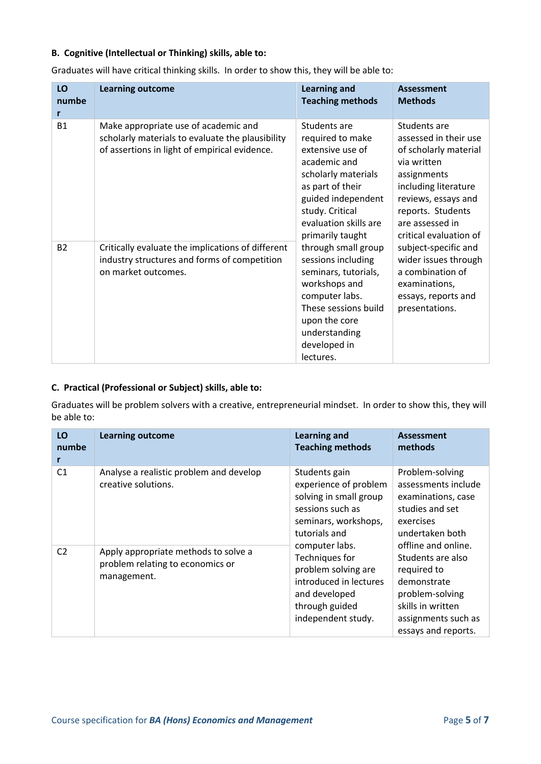#### **B. Cognitive (Intellectual or Thinking) skills, able to:**

| LO<br>numbe<br>r | <b>Learning outcome</b>                                                                                                                   | <b>Learning and</b><br><b>Teaching methods</b>                                                                                                                                                                                                                                                                                                                                                                                                                                                                                                    | <b>Assessment</b><br><b>Methods</b>                                                                                     |
|------------------|-------------------------------------------------------------------------------------------------------------------------------------------|---------------------------------------------------------------------------------------------------------------------------------------------------------------------------------------------------------------------------------------------------------------------------------------------------------------------------------------------------------------------------------------------------------------------------------------------------------------------------------------------------------------------------------------------------|-------------------------------------------------------------------------------------------------------------------------|
| <b>B1</b>        | Make appropriate use of academic and<br>scholarly materials to evaluate the plausibility<br>of assertions in light of empirical evidence. | Students are<br>Students are<br>required to make<br>extensive use of<br>academic and<br>via written<br>scholarly materials<br>assignments<br>as part of their<br>guided independent<br>study. Critical<br>reports. Students<br>evaluation skills are<br>are assessed in<br>primarily taught<br>through small group<br>sessions including<br>a combination of<br>seminars, tutorials,<br>workshops and<br>examinations,<br>computer labs.<br>These sessions build<br>presentations.<br>upon the core<br>understanding<br>developed in<br>lectures. | assessed in their use<br>of scholarly material<br>including literature<br>reviews, essays and<br>critical evaluation of |
| <b>B2</b>        | Critically evaluate the implications of different<br>industry structures and forms of competition<br>on market outcomes.                  |                                                                                                                                                                                                                                                                                                                                                                                                                                                                                                                                                   | subject-specific and<br>wider issues through<br>essays, reports and                                                     |

Graduates will have critical thinking skills. In order to show this, they will be able to:

#### **C. Practical (Professional or Subject) skills, able to:**

Graduates will be problem solvers with a creative, entrepreneurial mindset. In order to show this, they will be able to:

| LO<br>numbe<br>r | <b>Learning outcome</b>                                                                 | <b>Learning and</b><br><b>Teaching methods</b>                                                                                                                                                                                                                                                                                                                                        | <b>Assessment</b><br>methods                                                       |                                                                                 |
|------------------|-----------------------------------------------------------------------------------------|---------------------------------------------------------------------------------------------------------------------------------------------------------------------------------------------------------------------------------------------------------------------------------------------------------------------------------------------------------------------------------------|------------------------------------------------------------------------------------|---------------------------------------------------------------------------------|
| C <sub>1</sub>   | Analyse a realistic problem and develop<br>creative solutions.                          | Students gain<br>experience of problem<br>solving in small group<br>sessions such as<br>studies and set<br>seminars, workshops,<br>exercises<br>tutorials and<br>offline and online.<br>computer labs.<br>Techniques for<br>problem solving are<br>required to<br>introduced in lectures<br>demonstrate<br>and developed<br>skills in written<br>through guided<br>independent study. |                                                                                    | Problem-solving<br>assessments include<br>examinations, case<br>undertaken both |
| C <sub>2</sub>   | Apply appropriate methods to solve a<br>problem relating to economics or<br>management. |                                                                                                                                                                                                                                                                                                                                                                                       | Students are also<br>problem-solving<br>assignments such as<br>essays and reports. |                                                                                 |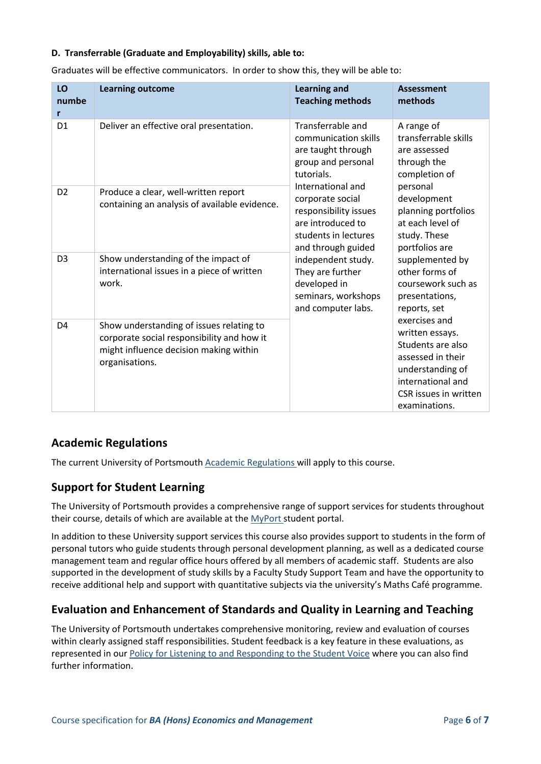#### **D. Transferrable (Graduate and Employability) skills, able to:**

| LO<br>numbe<br>r | <b>Learning outcome</b>                                                                                                                            | <b>Learning and</b><br><b>Teaching methods</b>                                                                                                                                                                                                                                                                                                                                                                                                                                                               | <b>Assessment</b><br>methods                                                                                                                                  |
|------------------|----------------------------------------------------------------------------------------------------------------------------------------------------|--------------------------------------------------------------------------------------------------------------------------------------------------------------------------------------------------------------------------------------------------------------------------------------------------------------------------------------------------------------------------------------------------------------------------------------------------------------------------------------------------------------|---------------------------------------------------------------------------------------------------------------------------------------------------------------|
| D <sub>1</sub>   | Deliver an effective oral presentation.                                                                                                            | Transferrable and<br>A range of<br>communication skills<br>are taught through<br>are assessed<br>group and personal<br>through the<br>tutorials.<br>completion of<br>International and<br>personal<br>development<br>corporate social<br>responsibility issues<br>are introduced to<br>students in lectures<br>study. These<br>portfolios are<br>and through guided<br>independent study.<br>They are further<br>developed in<br>seminars, workshops<br>presentations,<br>and computer labs.<br>reports, set | transferrable skills                                                                                                                                          |
| D <sub>2</sub>   | Produce a clear, well-written report<br>containing an analysis of available evidence.                                                              |                                                                                                                                                                                                                                                                                                                                                                                                                                                                                                              | planning portfolios<br>at each level of                                                                                                                       |
| D <sub>3</sub>   | Show understanding of the impact of<br>international issues in a piece of written<br>work.                                                         |                                                                                                                                                                                                                                                                                                                                                                                                                                                                                                              | supplemented by<br>other forms of<br>coursework such as                                                                                                       |
| D <sub>4</sub>   | Show understanding of issues relating to<br>corporate social responsibility and how it<br>might influence decision making within<br>organisations. |                                                                                                                                                                                                                                                                                                                                                                                                                                                                                                              | exercises and<br>written essays.<br>Students are also<br>assessed in their<br>understanding of<br>international and<br>CSR issues in written<br>examinations. |

Graduates will be effective communicators. In order to show this, they will be able to:

# **Academic Regulations**

The current University of Portsmouth [Academic Regulations](http://policies.docstore.port.ac.uk/policy-107.pdf?_ga=2.44997668.1234197307.1599461794-2095434147.1584443378) will apply to this course.

# **Support for Student Learning**

The University of Portsmouth provides a comprehensive range of support services for students throughout their course, details of which are available at the [MyPort](http://myport.ac.uk/) student portal.

In addition to these University support services this course also provides support to students in the form of personal tutors who guide students through personal development planning, as well as a dedicated course management team and regular office hours offered by all members of academic staff. Students are also supported in the development of study skills by a Faculty Study Support Team and have the opportunity to receive additional help and support with quantitative subjects via the university's Maths Café programme.

# **Evaluation and Enhancement of Standards and Quality in Learning and Teaching**

The University of Portsmouth undertakes comprehensive monitoring, review and evaluation of courses within clearly assigned staff responsibilities. Student feedback is a key feature in these evaluations, as represented in our [Policy for Listening to and Responding to the Student Voice](http://policies.docstore.port.ac.uk/policy-069.pdf) where you can also find further information.